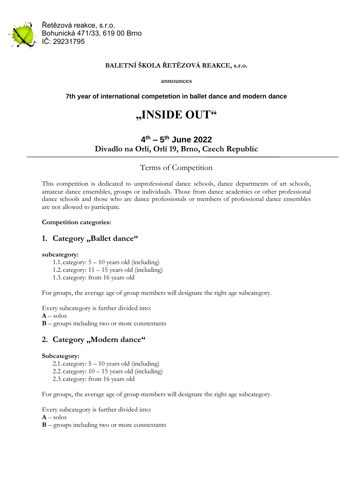

Řetězová reakce, s.r.o. Bohunická 471/33, 619 00 Brno IČ: 29231795

#### **BALETNÍ ŠKOLA ŘETĚZOVÁ REAKCE, s.r.o.**

**announces**

#### **7th year of international competetion in ballet dance and modern dance**

# **"INSIDE OUT"**

## **4 th – 5 th June 2022 Divadlo na Orlí, Orlí 19, Brno, Czech Republic**

### Terms of Competition

This competition is dedicated to unprofessional dance schools, dance departments of art schools, amateur dance ensembles, groups or individuals. Those from dance academies or other professional dance schools and those who are dance professionals or members of professional dance ensembles are not allowed to participate.

#### **Competition categories:**

## 1. Category "Ballet dance"

#### **subcategory:**

- 1.1. category: 5 10 years old (including)
- 1.2. category:  $11 15$  years old (including)
- 1.3. category: from 16 years old

For groups, the average age of group members will designate the right age subcategory.

Every subcategory is further divided into:

 $A - \text{solos}$ 

**B** – groups including two or more constestants

## 2. Category "Modern dance"

#### **Subcategory:**

- 2.1. category:  $5 10$  years old (including)
- 2.2. category:  $10 15$  years old (including)
- 2.3. category: from 16 years old

For groups, the average age of group members will designate the right age subcategory.

Every subcategory is further divided into:

**A** – solos

**B** – groups including two or more constestants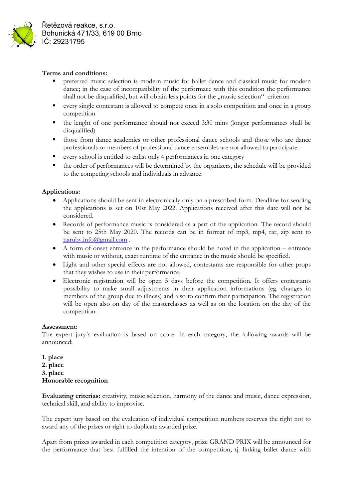

Řetězová reakce, s.r.o. Bohunická 471/33, 619 00 Brno IČ: 29231795

#### **Terms and conditions:**

- **•** preferred music selection is modern music for ballet dance and classical music for modern dance; in the case of incompatibility of the performace with this condition the performance shall not be disqualified, but will obtain less points for the "music selection" criterion
- every single contestant is allowed to compete once in a solo competition and once in a group competition
- the lenght of one performance should not exceed 3:30 mins (longer performances shall be disqualified)
- those from dance academies or other professional dance schools and those who are dance professionals or members of professional dance ensembles are not allowed to participate.
- every school is entitled to enlist only 4 performances in one category
- the order of performances will be determined by the organizers, the schedule will be provided to the competing schools and individuals in advance.

#### **Applications:**

- Applications should be sent in electronically only on a prescribed form. Deadline for sending the applications is set on 10st May 2022. Applications received after this date will not be considered.
- Records of performance music is considered as a part of the application. The record should be sent to 25th May 2020. The records can be in format of mp3, mp4, rar, zip sent to [naruby.info@gmail.com](mailto:naruby.info@gmail.com) .
- A form of onset entrance in the performance should be noted in the application entrance with music or without, exact runtime of the entrance in the music should be specified.
- Light and other special effects are not allowed, contestants are responsible for other props that they wishes to use in their performance.
- Electronic registration will be open 5 days before the competition. It offers contestants possibility to make small adjustments in their application informations (eg. changes in members of the group due to illness) and also to confirm their participation. The registration will be open also on day of the masterclasses as well as on the location on the day of the competition.

#### **Assessment:**

The expert jury´s evaluation is based on score. In each category, the following awards will be announced:

**1. place 2. place 3. place Honorable recognition**

**Evaluating criterias:** creativity, music selection, harmony of the dance and music, dance expression, technical skill, and ability to improvise.

The expert jury based on the evaluation of individual competition numbers reserves the right not to award any of the prizes or right to duplicate awarded prize.

Apart from prizes awarded in each competition category, prize GRAND PRIX will be announced for the performance that best fulfilled the intention of the competition, tj. linking ballet dance with